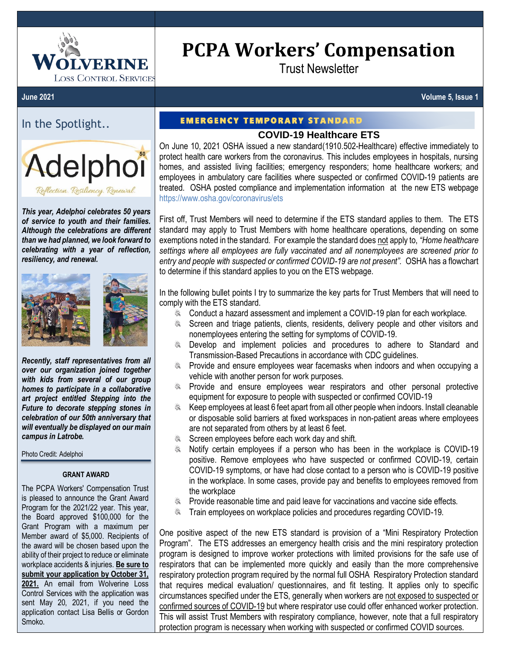

# **PCPA Workers' Compensation**

Trust Newsletter

**June 2021 Volume 5, Issue 1**

# In the Spotlight..



*This year, Adelphoi celebrates 50 years of service to youth and their families. Although the celebrations are different than we had planned, we look forward to celebrating with a year of reflection, resiliency, and renewal.*



*Recently, staff representatives from all over our organization joined together with kids from several of our group homes to participate in a collaborative art project entitled Stepping into the Future to decorate stepping stones in celebration of our 50th anniversary that will eventually be displayed on our main campus in Latrobe.*

Photo Credit: Adelphoi

#### **GRANT AWARD**

The PCPA Workers' Compensation Trust is pleased to announce the Grant Award Program for the 2021/22 year. This year, the Board approved \$100,000 for the Grant Program with a maximum per Member award of \$5,000. Recipients of the award will be chosen based upon the ability of their project to reduce or eliminate workplace accidents & injuries. **Be sure to submit your application by October 31, 2021.** An email from Wolverine Loss Control Services with the application was sent May 20, 2021, if you need the application contact Lisa Bellis or Gordon Smoko.

## **EMERGENCY TEMPORARY STANDARD**

## **COVID-19 Healthcare ETS**

On June 10, 2021 OSHA issued a new standard(1910.502-Healthcare) effective immediately to protect health care workers from the coronavirus. This includes employees in hospitals, nursing homes, and assisted living facilities; emergency responders; home healthcare workers; and employees in ambulatory care facilities where suspected or confirmed COVID-19 patients are treated. OSHA posted compliance and implementation information at the new ETS webpage <https://www.osha.gov/coronavirus/ets>

First off, Trust Members will need to determine if the ETS standard applies to them. The ETS standard may apply to Trust Members with home healthcare operations, depending on some exemptions noted in the standard. For example the standard does not apply to, *"Home healthcare settings where all employees are fully vaccinated and all nonemployees are screened prior to entry and people with suspected or confirmed COVID-19 are not present".* OSHA has a flowchart to determine if this standard applies to you on the ETS webpage.

In the following bullet points I try to summarize the key parts for Trust Members that will need to comply with the ETS standard.

- $\label{eq:1} \begin{array}{ll} \mathcal{P}_{\text{min}} \\ \mathcal{P}_{\text{max}} \end{array}$ Conduct a hazard assessment and implement a COVID-19 plan for each workplace.
- Screen and triage patients, clients, residents, delivery people and other visitors and  $\frac{1}{2}$ nonemployees entering the setting for symptoms of COVID-19.
- **Examplement policies and procedures to adhere to Standard and** Transmission-Based Precautions in accordance with CDC guidelines.
- Provide and ensure employees wear facemasks when indoors and when occupying a vehicle with another person for work purposes.
- **EXA:** Provide and ensure employees wear respirators and other personal protective equipment for exposure to people with suspected or confirmed COVID-19
- Keep employees at least 6 feet apart from all other people when indoors. Install cleanable or disposable solid barriers at fixed workspaces in non-patient areas where employees are not separated from others by at least 6 feet.
- Screen employees before each work day and shift.
- Notify certain employees if a person who has been in the workplace is COVID-19 positive. Remove employees who have suspected or confirmed COVID-19, certain COVID-19 symptoms, or have had close contact to a person who is COVID-19 positive in the workplace. In some cases, provide pay and benefits to employees removed from the workplace
- Provide reasonable time and paid leave for vaccinations and vaccine side effects.
- Train employees on workplace policies and procedures regarding COVID-19.

One positive aspect of the new ETS standard is provision of a "Mini Respiratory Protection Program". The ETS addresses an emergency health crisis and the mini respiratory protection program is designed to improve worker protections with limited provisions for the safe use of respirators that can be implemented more quickly and easily than the more comprehensive respiratory protection program required by the normal full OSHA Respiratory Protection standard that requires medical evaluation/ questionnaires, and fit testing. It applies only to specific circumstances specified under the ETS, generally when workers are not exposed to suspected or confirmed sources of COVID-19 but where respirator use could offer enhanced worker protection. This will assist Trust Members with respiratory compliance, however, note that a full respiratory protection program is necessary when working with suspected or confirmed COVID sources.